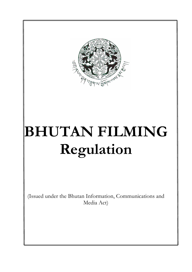

# **BHUTAN FILMING Regulation**

(Issued under the Bhutan Information, Communications and Media Act)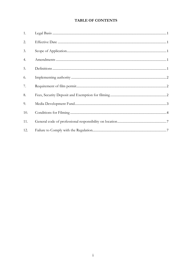# **TABLE OF CONTENTS**

| 1.  |  |
|-----|--|
| 2.  |  |
| 3.  |  |
| 4.  |  |
| 5.  |  |
| 6.  |  |
| 7.  |  |
| 8.  |  |
| 9.  |  |
| 10. |  |
| 11. |  |
| 12. |  |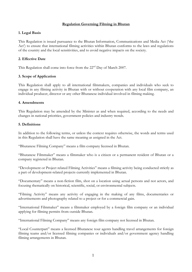#### **Regulation Governing Filming in Bhutan**

## <span id="page-2-0"></span>**1. Legal Basis**

This Regulation is issued pursuance to the Bhutan Information, Communications and Media Act ('the Act') to ensure that international filming activities within Bhutan conforms to the laws and regulations of the country and the local sensitivities, and to avoid negative impacts on the society.

#### **2. Effective Date**

This Regulation shall come into force from the 22<sup>nd</sup> Day of March 2007.

#### **3. Scope of Application**

This Regulation shall apply to all international filmmakers, companies and individuals who seek to engage in any filming activity in Bhutan with or without cooperation with any local film company, an individual producer, director or any other Bhutanese individual involved in filming making.

#### **4. Amendments**

This Regulation may be amended by the Minister as and when required, according to the needs and changes in national priorities, government policies and industry trends.

#### **5. Definitions**

In addition to the following terms, or unless the context requires otherwise, the words and terms used in this Regulation shall have the same meaning as assigned in the Act.

"Bhutanese Filming Company" means a film company licensed in Bhutan.

"Bhutanese Filmmaker" means a filmmaker who is a citizen or a permanent resident of Bhutan or a company registered in Bhutan.

"Development or Project related Filming Activities" means a filming activity being conducted strictly as a part of development-related projects currently implemented in Bhutan.

"Documentary" means a non-fiction film, shot on a location using actual persons and not actors, and focusing thematically on historical, scientific, social, or environmental subjects.

"Filming Activity" means any activity of engaging in the making of any films, documentaries or advertisements and photography related to a project or for a commercial gain.

"International Filmmaker" means a filmmaker employed by a foreign film company or an individual applying for filming permits from outside Bhutan.

"International Filming Company" means any foreign film company not licensed in Bhutan.

"Local Counterpart" means a licensed Bhutanese tour agents handling travel arrangements for foreign filming teams and/or licensed filming companies or individuals and/or government agency handling filming arrangements in Bhutan.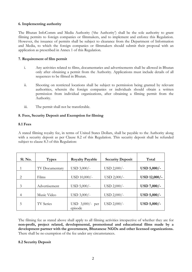#### <span id="page-3-0"></span>**6. Implementing authority**

The Bhutan InfoComm and Media Authority ('the Authority') shall be the sole authority to grant filming permits to foreign companies or filmmakers, and to implement and enforce this Regulation. However, the issuance of permits shall be subject to clearance from the Department of Information and Media, to which the foreign companies or filmmakers should submit their proposal with an application as prescribed in Annex 1 of this Regulation.

#### **7. Requirement of film permit**

- i. Any activities related to films, documentaries and advertisements shall be allowed in Bhutan only after obtaining a permit from the Authority. Applications must include details of all sequences to be filmed in Bhutan.
- ii. Shooting on restricted locations shall be subject to permission being granted by relevant authorities, wherein the foreign companies or individuals should obtain a written permission from individual organizations, after obtaining a filming permit from the Authority.
- iii. The permit shall not be transferable.

#### **8. Fees, Security Deposit and Exemption for filming**

#### **8.1 Fees**

A stated filming royalty fee, in terms of United States Dollars, shall be payable to the Authority along with a security deposit as per Clause 8.2 of this Regulation. This security deposit shall be refunded subject to clause 8.3 of this Regulation:

| Sl. No. | <b>Types</b>     | <b>Royalty Payable</b> | <b>Security Deposit</b> | Total        |
|---------|------------------|------------------------|-------------------------|--------------|
|         | TV Documentary   | $USD 3,000/-$          | USD 2,000/-             | USD 5,000/-  |
| 2       | Films            | USD 10,000/-           | $USD 2,000/-$           | USD 12,000/- |
| 3       | Advertisement    | $USD 5,000/-$          | USD 2,000/-             | USD 7,000/-  |
| 4       | Music Video      | $USD 3,000/-$          | USD 2,000/-             | USD 5,000/-  |
| 5       | <b>TV</b> Series | USD $3,000/$ - per     | $USD 2,000/-$           | USD 5,000/-  |
|         |                  | episode                |                         |              |

The filming fee as stated above shall apply to all filming activities irrespective of whether they are for **non-profit, project related, developmental, promotional and educational films made by a development partner with the government, Bhutanese NGOs and other licensed organizations.** There shall be no exemption of the fee under any circumstances.

#### **8.2 Security Deposit**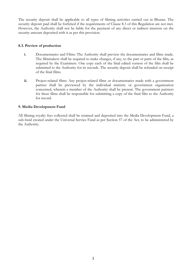<span id="page-4-0"></span>The security deposit shall be applicable to all types of filming activities carried out in Bhutan. The security deposit paid shall be forfeited if the requirements of Clause 8.3 of this Regulation are not met. However, the Authority shall not be liable for the payment of any direct or indirect interests on the security amount deposited with it as per this provision.

#### **8.3. Preview of production**

- **i.** Documentaries and Films: The Authority shall preview the documentaries and films made. The filmmakers shall be required to make changes, if any, to the part or parts of the film, as required by the Examiners. One copy each of the final edited version of the film shall be submitted to the Authority for its records. The security deposit shall be refunded on receipt of the final films.
- **ii.** Project-related films: Any project-related films or documentaries made with a government partner shall be previewed by the individual ministry or government organization concerned, wherein a member of the Authority shall be present. The government partners for these films shall be responsible for submitting a copy of the final film to the Authority for record.

#### **9. Media Development Fund**

All filming royalty fees collected shall be retained and deposited into the Media Development Fund, a sub-fund created under the Universal Service Fund as per Section 57 of the Act, to be administered by the Authority.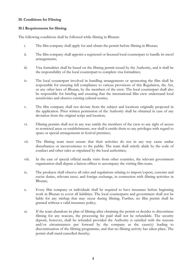#### <span id="page-5-0"></span>**10. Conditions for Filming**

#### **10.1 Requirements for filming**

The following conditions shall be followed while filming in Bhutan:

- i. The film company shall apply for and obtain the permit before filming in Bhutan;
- ii. The film company shall appoint a registered or licensed local counterpart to handle its travel arrangements;
- iii. Visa formalities shall be based on the filming permit issued by the Authority, and it shall be the responsibility of the local counterpart to complete visa formalities;
- iv. The local counterpart involved in handling arrangements or sponsoring the film shall be responsible for ensuring full compliance to various provisions of this Regulation, the Act, or any other laws of Bhutan, by the members of the crew. The local counterpart shall also be responsible for briefing and ensuring that the international film crew understand local sensitivities and observe existing cultural norms;
- v. The film company shall not deviate from the subject and locations originally proposed in the application. Prior written permission of the Authority shall be obtained in case of any deviation from the original script and location;
- vi. Filming permits shall not in any way entitle the members of the crew to any right of access to restricted areas or establishments, nor shall it entitle them to any privileges with regard to space or special arrangements in festival premises;
- vii. The filming team must ensure that their activities do not in any way cause undue disturbances or inconvenience to the public. The team shall strictly abide by the code of conduct and other rules as stipulated by the local authorities;
- viii. In the case of special official media visits from other countries, the relevant government organization shall depute a liaison officer to accompany the visiting film team;
- ix. The producer shall observe all rules and regulations relating to import/export, customs and excise duties, relevant taxes, and foreign exchange, in connection with filming activities in Bhutan;
- x. Every film company or individuals shall be required to have insurance before beginning work in Bhutan to cover all liabilities. The local counterparts and government shall not be liable for any mishap that may occur during filming. Further, no film permit shall be granted without a valid insurance policy;
- xi. If the team abandons its plan of filming after obtaining the permit or decides to discontinue filming for any reasons, the processing fee paid shall not be refundable. The security deposit, however, shall be refunded provided the Authority is satisfied with the reasons and/or circumstances put forward by the company as the cause(s) leading to discontinuation of the filming programme, and that no filming activity has taken place. The permit shall stand cancelled thereby;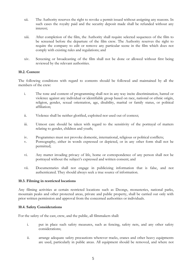- xii. The Authority reserves the right to revoke a permit issued without assigning any reasons. In such cases the royalty paid and the security deposit made shall be refunded without any interest;
- xiii. After completion of the film, the Authority shall require selected sequences of the film to be screened before the departure of the film crew. The Authority reserves the right to require the company to edit or remove any particular scene in the film which does not comply with existing rules and regulations; and
- xiv. Screening or broadcasting of the film shall not be done or allowed without first being reviewed by the relevant authorities.

#### **10.2. Content**

The following conditions with regard to contents should be followed and maintained by all the members of the crew:

- i. The tone and content of programming shall not in any way incite discrimination, hatred or violence against any individual or identifiable group based on race, national or ethnic origin, religion, gender, sexual orientation, age, disability, marital or family status, or political affiliation;
- ii. Violence shall be neither glorified, exploited nor used out of context;
- iii. Utmost care should be taken with regard to the sensitivity of the portrayal of matters relating to gender, children and youth;
- iv. Programmes must not provoke domestic, international, religious or political conflicts;
- v. Pornography, either in words expressed or depicted, or in any other form shall not be permitted;
- vi. Any matter invading privacy of life, home or correspondence of any person shall not be portrayed without the subject's expressed and written consent; and
- vii. Documentaries shall not engage in publicizing information that is false, and not authenticated. They should always seek a true source of information.

#### **10.3. Filming in restricted locations**

Any filming activities at certain restricted locations such as Dzongs, monasteries, national parks, mountain peaks and other protected areas, private and public property, shall be carried out only with prior written permission and approval from the concerned authorities or individuals.

#### **10.4. Safety Considerations**

For the safety of the cast, crew, and the public, all filmmakers shall:

- i. put in place such safety measures, such as fencing, safety nets, and any other safety considerations;
- ii. arrange adequate safety precautions wherever tracks, cranes and other heavy equipments are used, particularly in public areas. All equipment should be removed, and where not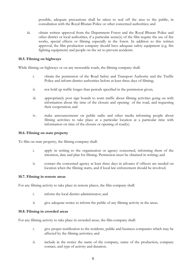possible, adequate precautions shall be taken to seal off the area to the public, in consultation with the Royal Bhutan Police or other concerned authorities; and

iii. obtain written approval from the Department Forest and the Royal Bhutan Police and other district or local authorities, if a particular scene(s) of the film require the use of fire works, special effects or filming especially in the forest. In addition to this written approval, the film production company should have adequate safety equipment (e.g. fire fighting equipment) and people on the set to prevent accidents.

#### **10.5. Filming on highways**

While filming on highways or on any motorable roads, the filming company shall:

- i. obtain the permission of the Road Safety and Transport Authority and the Traffic Police and inform district authorities before at least three days of filming;
- ii. not hold up traffic longer than periods specified in the permission given;
- iii. appropriately post sign boards to warn traffic about filming activities going on with information about the time of the closure and opening of the road, and requesting their cooperation; and
- iv. make announcements on public radio and other media informing people about filming activities to take place at a particular location at a particular time with information on time of the closure or opening of road(s).

#### **10.6. Filming on state property**

To film on state property, the filming company shall:

- i. apply in writing to the organization or agency concerned, informing them of the intention, date and plan for filming. Permission must be obtained in writing; and
- ii. contact the concerned agency at least three days in advance if officers are needed on location when the filming starts, and if local law enforcement should be involved.

#### **10.7. Filming in remote areas**

For any filming activity to take place in remote places, the film company shall:

- i. inform the local district administrator; and
- ii. give adequate notice to inform the public of any filming activity in the areas.

#### **10.8. Filming in crowded areas**

For any filming activity to take place in crowded areas, the film company shall:

- i. give proper notification to the residents, public and business companies which may be affected by the filming activities; and
- ii. include in the notice the name of the company, name of the production, company contact, and type of activity and duration.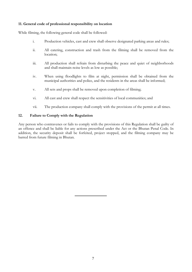#### <span id="page-8-0"></span>**11. General code of professional responsibility on location**

While filming, the following general code shall be followed:

- i. Production vehicles, cast and crew shall observe designated parking areas and rules;
- ii. All catering, construction and trash from the filming shall be removed from the location;
- iii. All production shall refrain from disturbing the peace and quiet of neighborhoods and shall maintain noise levels as low as possible;
- iv. When using floodlights to film at night, permission shall be obtained from the municipal authorities and police, and the residents in the areas shall be informed;
- v. All sets and props shall be removed upon completion of filming;
- vi. All cast and crew shall respect the sensitivities of local communities; and
- vii. The production company shall comply with the provisions of the permit at all times.

#### **12. Failure to Comply with the Regulation**

Any person who contravenes or fails to comply with the provisions of this Regulation shall be guilty of an offence and shall be liable for any actions prescribed under the Act or the Bhutan Penal Code. In addition, the security deposit shall be forfeited, project stopped, and the filming company may be barred from future filming in Bhutan.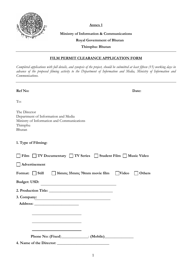

**Annex 1**

# **Ministry of Information & Communications**

# **Royal Government of Bhutan**

**Thimphu: Bhutan** 

# **FILM PERMIT CLEARANCE APPLICATION FORM**

*Completed applications with full details, and synopsis of the project, should be submitted at least fifteen (15) working days in advance of the proposed filming activity to the Department of Information and Media, Ministry of Information and Communications.*

| Ref No:                                                                                                                | Date:  |
|------------------------------------------------------------------------------------------------------------------------|--------|
| To:                                                                                                                    |        |
| The Director<br>Department of Information and Media<br>Ministry of Information and Communications<br>Thimphu<br>Bhutan |        |
| 1. Type of Filming:                                                                                                    |        |
| Film TV Documentary TV Series Student Film Music Video                                                                 |        |
| $\Box$ Advertisement                                                                                                   |        |
| Format: Still 16mm; 35mm; 70mm movie film   Video                                                                      | Others |
| <b>Budget: USD:</b>                                                                                                    |        |
|                                                                                                                        |        |
| 3. Company: 2008 2014 2022 2023 2024 2022 2022 2023 2024 2022 2023 2024 2022 2023 2024 2025 2026 2027 2028 202         |        |
|                                                                                                                        |        |
|                                                                                                                        |        |
|                                                                                                                        |        |
|                                                                                                                        |        |
|                                                                                                                        |        |
|                                                                                                                        |        |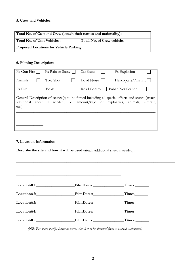## **5. Crew and Vehicles:**

| Total No. of Cast and Crew (attach their names and nationality): |                             |  |  |  |
|------------------------------------------------------------------|-----------------------------|--|--|--|
| <b>Total No. of Unit Vehicles:</b>                               | Total No. of Crew vehicles: |  |  |  |
| <b>Proposed Locations for Vehicle Parking:</b>                   |                             |  |  |  |

# **6. Filming Description:**

| Fx Gun Fire                                                                                                                                                                                          |  | Fx Rain or Snow |  | Car Stunt                  | <b>Fx</b> Explosion                     |  |
|------------------------------------------------------------------------------------------------------------------------------------------------------------------------------------------------------|--|-----------------|--|----------------------------|-----------------------------------------|--|
| Animals                                                                                                                                                                                              |  | Tow Shot        |  | Loud Noise $\vert \ \vert$ | $Helicopters/Aircraft \Box$             |  |
| <b>Fx</b> Fire                                                                                                                                                                                       |  | <b>Boats</b>    |  |                            | Road Control $\Box$ Public Notification |  |
| General Description of scence(s) to be flimed including all special effects and stunts (attach<br>additional sheet if needed, i.e. amount/type of explosives, animals, aircraft,<br>$etc.$ ): $\_\_$ |  |                 |  |                            |                                         |  |
|                                                                                                                                                                                                      |  |                 |  |                            |                                         |  |

# **7. Location Information**

**Describe the site and how it will be used** (attach additional sheet if needed)**:** 

|                        | Times:                            |
|------------------------|-----------------------------------|
|                        | Times                             |
| Location#3: FilmDates: | $_<$ Times: $\_\_\_\_\_\_\_\_\_\$ |
| Location#4: FilmDates: | Times:                            |
|                        | Times:                            |

**\_\_\_\_\_\_\_\_\_\_\_\_\_\_\_\_\_\_\_\_\_\_\_\_\_\_\_\_\_\_\_\_\_\_\_\_\_\_\_\_\_\_\_\_\_\_\_\_\_\_\_\_\_\_\_\_\_\_\_\_\_\_\_\_\_\_\_\_\_\_\_\_\_\_\_\_\_\_\_\_\_\_**

*(NB: For some specific locations permission has to be obtained from concerned authorities)*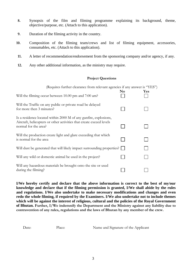- **8.** Synopsis of the film and filming programme explaining its background, theme, objective/purpose, etc. (Attach to this application).
- **9.** Duration of the filming activity in the country.
- **10.** Composition of the filming team/crews and list of filming equipment, accessories, consumables, etc. (Attach to this application).
- **11.** A letter of recommendation/endorsement from the sponsoring company and/or agency, if any.
- **12.** Any other additional information, as the ministry may require.

#### **Project Questions**

| (Requires further clearance from relevant agencies if any answer is "YES")                                                                                      |                |            |
|-----------------------------------------------------------------------------------------------------------------------------------------------------------------|----------------|------------|
| Will the filming occur between 10.00 pm and 7:00 am?                                                                                                            | N <sub>0</sub> | <b>Yes</b> |
| Will the Traffic on any public or private road be delayed<br>for more then 3 minutes?                                                                           |                |            |
| Is a residence located within 2000 M of any gunfire, explosions,<br>Aircraft, helicopters or other activities that create exceed levels<br>normal for the area? |                |            |
| Will the production create light and glare exceeding that which<br>is normal for the area                                                                       |                |            |
| Will dust be generated that will likely impact surrounding properties?                                                                                          |                |            |
| Will any wild or domestic animal be used in the project?                                                                                                        |                |            |
| Will any hazardous materials be brought onto the site or used<br>during the filming?                                                                            |                |            |

**I/We hereby certify and declare that the above information is correct to the best of my/our knowledge and declare that if the filming permission is granted, I/We shall abide by the rules and regulations. I/We also undertake to make necessary modifications and changes and even redo the whole filming, if required by the Examiners. I/We also undertake not to include themes which will be against the interest of religious, cultural and the policies of the Royal Government of Bhutan. Further, I/We indemnify the Department and the Ministry against any liability due to contravention of any rules, regulations and the laws of Bhutan by any member of the crew.** 

Date: Place: Name and Signature of the Applicant